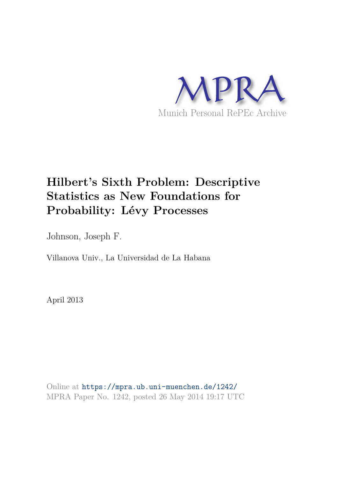

# **Hilbert's Sixth Problem: Descriptive Statistics as New Foundations for Probability: Lévy Processes**

Johnson, Joseph F.

Villanova Univ., La Universidad de La Habana

April 2013

Online at https://mpra.ub.uni-muenchen.de/1242/ MPRA Paper No. 1242, posted 26 May 2014 19:17 UTC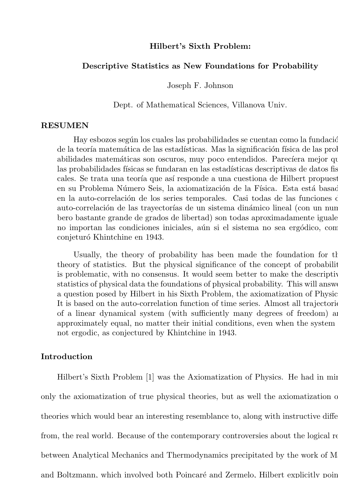# Hilbert's Sixth Problem:

### Descriptive Statistics as New Foundations for Probability

Joseph F. Johnson

Dept. of Mathematical Sciences, Villanova Univ.

#### RESUMEN

Hay esbozos según los cuales las probabilidades se cuentan como la fundación de la teoría matemática de las estadísticas. Mas la significación física de las prob abilidades matemáticas son oscuros, muy poco entendidos. Parecíara mejor que entendidos entendidos entendidos entendidos entendidos entendidos entendidos entendidos entendidos entendidos entendidos entendidos entendidos en las probabilidades físicas se fundaran en las estadísticas descriptivas de datos fis cales. Se trata una teoría que así responde a una cuestiona de Hilbert propuest en su Problema Número Seis, la axiomatización de la Física. Esta está basad en la auto-correlación de los series temporales. Casi todas de las funciones o auto-correlación de las trayectorías de un sistema dinámico lineal (con un nun bero bastante grande de grados de libertad) son todas aproximadamente iguales, no importan las condiciones iniciales, aún si el sistema no sea ergódico, com conjeturó Khintchine en 1943.

Usually, the theory of probability has been made the foundation for the theory of statistics. But the physical significance of the concept of probabilit is problematic, with no consensus. It would seem better to make the descriptiv statistics of physical data the foundations of physical probability. This will answer a question posed by Hilbert in his Sixth Problem, the axiomatization of Physics. It is based on the auto-correlation function of time series. Almost all trajectories of a linear dynamical system (with sufficiently many degrees of freedom) as approximately equal, no matter their initial conditions, even when the system is not ergodic, as conjectured by Khintchine in 1943.

# Introduction

Hilbert's Sixth Problem [1] was the Axiomatization of Physics. He had in min only the axiomatization of true physical theories, but as well the axiomatization of theories which would bear an interesting resemblance to, along with instructive differe from, the real world. Because of the contemporary controversies about the logical re between Analytical Mechanics and Thermodynamics precipitated by the work of M and Boltzmann, which involved both Poincaré and Zermelo, Hilbert explicitly point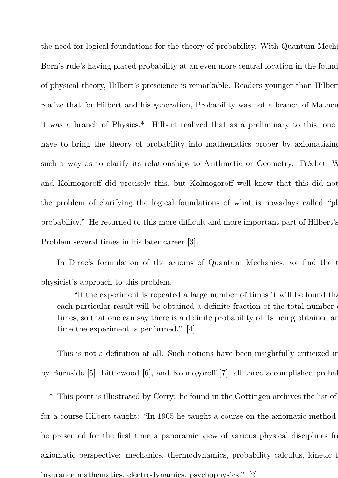the need for logical foundations for the theory of probability. With Quantum Mechanics's Born's rule's having placed probability at an even more central location in the found of physical theory, Hilbert's prescience is remarkable. Readers younger than Hilber realize that for Hilbert and his generation, Probability was not a branch of Mathematics, it was a branch of Physics.\* Hilbert realized that as a preliminary to this, one have to bring the theory of probability into mathematics proper by axiomatizing such a way as to clarify its relationships to Arithmetic or Geometry. Fréchet, W and Kolmogoroff did precisely this, but Kolmogoroff well knew that this did not the problem of clarifying the logical foundations of what is nowadays called "ph probability." He returned to this more difficult and more important part of Hilbert's Problem several times in his later career [3].

In Dirac's formulation of the axioms of Quantum Mechanics, we find the t physicist's approach to this problem.

"If the experiment is repeated a large number of times it will be found that each particular result will be obtained a definite fraction of the total number times, so that one can say there is a definite probability of its being obtained an time the experiment is performed." [4]

This is not a definition at all. Such notions have been insightfully criticized in by Burnside [5], Littlewood  $[6]$ , and Kolmogoroff  $[7]$ , all three accomplished probabilities.

<sup>&</sup>lt;sup>\*</sup> This point is illustrated by Corry: he found in the Göttingen archives the list of for a course Hilbert taught: "In 1905 he taught a course on the axiomatic method he presented for the first time a panoramic view of various physical disciplines from axiomatic perspective: mechanics, thermodynamics, probability calculus, kinetic t insurance mathematics, electrodynamics, psychophysics." [2]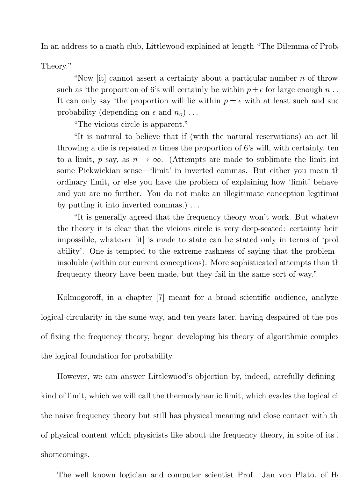In an address to a math club, Littlewood explained at length "The Dilemma of Prob

Theory."

"Now [it] cannot assert a certainty about a particular number  $n$  of throw such as 'the proportion of 6's will certainly be within  $p \pm \epsilon$  for large enough n. It can only say 'the proportion will lie within  $p \pm \epsilon$  with at least such and such probability (depending on  $\epsilon$  and  $n_o$ )...

"The vicious circle is apparent."

"It is natural to believe that if (with the natural reservations) an act lik throwing a die is repeated n times the proportion of 6's will, with certainty, ten to a limit, p say, as  $n \to \infty$ . (Attempts are made to sublimate the limit int some Pickwickian sense—'limit' in inverted commas. But either you mean the ordinary limit, or else you have the problem of explaining how 'limit' behave and you are no further. You do not make an illegitimate conception legitimate by putting it into inverted commas.) ...

"It is generally agreed that the frequency theory won't work. But whatever the theory it is clear that the vicious circle is very deep-seated: certainty being impossible, whatever [it] is made to state can be stated only in terms of 'probability'. One is tempted to the extreme rashness of saying that the problem insoluble (within our current conceptions). More sophisticated attempts than the frequency theory have been made, but they fail in the same sort of way."

Kolmogoroff, in a chapter [7] meant for a broad scientific audience, analyze logical circularity in the same way, and ten years later, having despaired of the pos of fixing the frequency theory, began developing his theory of algorithmic complex the logical foundation for probability.

However, we can answer Littlewood's objection by, indeed, carefully defining kind of limit, which we will call the thermodynamic limit, which evades the logical circle the naive frequency theory but still has physical meaning and close contact with the of physical content which physicists like about the frequency theory, in spite of its shortcomings.

The well known logician and computer scientist Prof. Jan von Plato, of H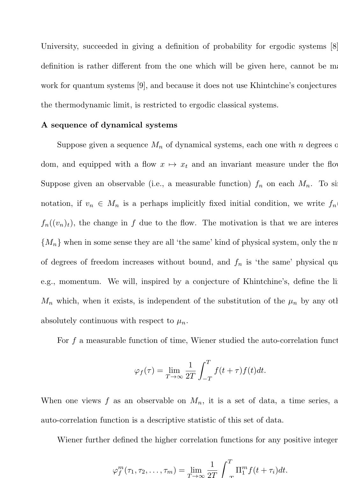University, succeeded in giving a definition of probability for ergodic systems [8]. definition is rather different from the one which will be given here, cannot be made work for quantum systems [9], and because it does not use Khintchine's conjectures the thermodynamic limit, is restricted to ergodic classical systems.

#### A sequence of dynamical systems

Suppose given a sequence  $M_n$  of dynamical systems, each one with n degrees of dom, and equipped with a flow  $x \mapsto x_t$  and an invariant measure under the flow Suppose given an observable (i.e., a measurable function)  $f_n$  on each  $M_n$ . To simple notation, if  $v_n \in M_n$  is a perhaps implicitly fixed initial condition, we write  $f_n$  $f_n((v_n)_t)$ , the change in f due to the flow. The motivation is that we are interest  ${M_n}$  when in some sense they are all 'the same' kind of physical system, only the n of degrees of freedom increases without bound, and  $f_n$  is 'the same' physical qu e.g., momentum. We will, inspired by a conjecture of Khintchine's, define the li  $M_n$  which, when it exists, is independent of the substitution of the  $\mu_n$  by any other absolutely continuous with respect to  $\mu_n$ .

For  $f$  a measurable function of time, Wiener studied the auto-correlation function

$$
\varphi_f(\tau) = \lim_{T \to \infty} \frac{1}{2T} \int_{-T}^{T} f(t + \tau) f(t) dt.
$$

When one views f as an observable on  $M_n$ , it is a set of data, a time series, a auto-correlation function is a descriptive statistic of this set of data.

Wiener further defined the higher correlation functions for any positive integer

$$
\varphi_f^m(\tau_1, \tau_2, \dots, \tau_m) = \lim_{T \to \infty} \frac{1}{2T} \int_{-T}^T \Pi_1^m f(t + \tau_i) dt.
$$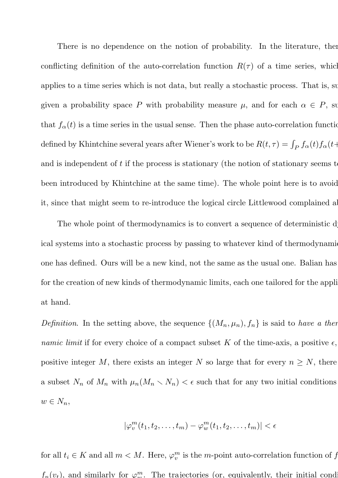There is no dependence on the notion of probability. In the literature, then conflicting definition of the auto-correlation function  $R(\tau)$  of a time series, which applies to a time series which is not data, but really a stochastic process. That is, supp given a probability space P with probability measure  $\mu$ , and for each  $\alpha \in P$ , suppresent that  $f_{\alpha}(t)$  is a time series in the usual sense. Then the phase auto-correlation function defined by Khintchine several years after Wiener's work to be  $R(t, \tau) = \int_P f_\alpha(t) f_\alpha(t)$ and is independent of  $t$  if the process is stationary (the notion of stationary seems  $t$ been introduced by Khintchine at the same time). The whole point here is to avoid it, since that might seem to re-introduce the logical circle Littlewood complained ab

The whole point of thermodynamics is to convert a sequence of deterministic d ical systems into a stochastic process by passing to whatever kind of thermodynamic one has defined. Ours will be a new kind, not the same as the usual one. Balian has for the creation of new kinds of thermodynamic limits, each one tailored for the application at hand.

*Definition*. In the setting above, the sequence  $\{(M_n, \mu_n), f_n\}$  is said to *have a thermood namic limit* if for every choice of a compact subset K of the time-axis, a positive  $\epsilon$ , positive integer M, there exists an integer N so large that for every  $n \geq N$ , there a subset  $N_n$  of  $M_n$  with  $\mu_n(M_n \setminus N_n) < \epsilon$  such that for any two initial conditions  $w \in N_n$ 

$$
|\varphi^m_v(t_1,t_2,\ldots,t_m)-\varphi^m_w(t_1,t_2,\ldots,t_m)|<\epsilon
$$

for all  $t_i \in K$  and all  $m < M$ . Here,  $\varphi_v^m$  is the m-point auto-correlation function of f  $f_n(v_t)$ , and similarly for  $\varphi_m^m$ . The trajectories (or, equivalently, their initial conditions)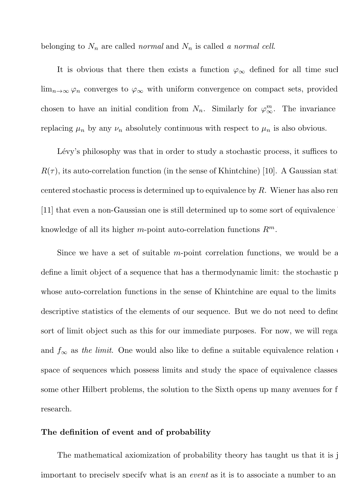belonging to  $N_n$  are called *normal* and  $N_n$  is called *a normal cell*.

It is obvious that there then exists a function  $\varphi_{\infty}$  defined for all time such  $\lim_{n\to\infty}\varphi_n$  converges to  $\varphi_\infty$  with uniform convergence on compact sets, provided chosen to have an initial condition from  $N_n$ . Similarly for  $\varphi^m_{\infty}$ . The invariance replacing  $\mu_n$  by any  $\nu_n$  absolutely continuous with respect to  $\mu_n$  is also obvious.

Lévy's philosophy was that in order to study a stochastic process, it suffices to  $R(\tau)$ , its auto-correlation function (in the sense of Khintchine) [10]. A Gaussian stat centered stochastic process is determined up to equivalence by  $R$ . Wiener has also rem [11] that even a non-Gaussian one is still determined up to some sort of equivalence b knowledge of all its higher m-point auto-correlation functions  $R^m$ .

Since we have a set of suitable  $m$ -point correlation functions, we would be a define a limit object of a sequence that has a thermodynamic limit: the stochastic prowhose auto-correlation functions in the sense of Khintchine are equal to the limits descriptive statistics of the elements of our sequence. But we do not need to define sort of limit object such as this for our immediate purposes. For now, we will regard and  $f_{\infty}$  as *the limit*. One would also like to define a suitable equivalence relation space of sequences which possess limits and study the space of equivalence classes. some other Hilbert problems, the solution to the Sixth opens up many avenues for f research.

# The definition of event and of probability

The mathematical axiomization of probability theory has taught us that it is j important to precisely specify what is an *event* as it is to associate a number to an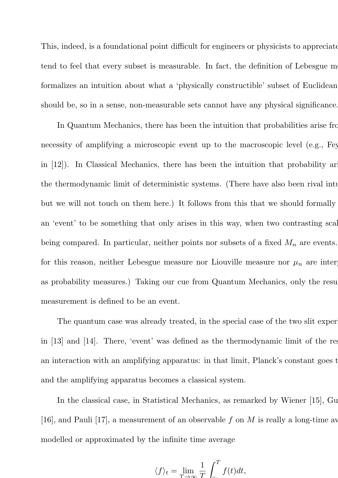This, indeed, is a foundational point difficult for engineers or physicists to appreciate; tend to feel that every subset is measurable. In fact, the definition of Lebesgue m formalizes an intuition about what a 'physically constructible' subset of Euclidean should be, so in a sense, non-measurable sets cannot have any physical significance.

In Quantum Mechanics, there has been the intuition that probabilities arise from necessity of amplifying a microscopic event up to the macroscopic level (e.g., Fey in [12]). In Classical Mechanics, there has been the intuition that probability ar the thermodynamic limit of deterministic systems. (There have also been rival intu but we will not touch on them here.) It follows from this that we should formally an 'event' to be something that only arises in this way, when two contrasting scal being compared. In particular, neither points nor subsets of a fixed  $M_n$  are events. for this reason, neither Lebesgue measure nor Liouville measure nor  $\mu_n$  are inter as probability measures.) Taking our cue from Quantum Mechanics, only the result measurement is defined to be an event.

The quantum case was already treated, in the special case of the two slit exper in  $|13|$  and  $|14|$ . There, 'event' was defined as the thermodynamic limit of the res an interaction with an amplifying apparatus: in that limit, Planck's constant goes to and the amplifying apparatus becomes a classical system.

In the classical case, in Statistical Mechanics, as remarked by Wiener  $|15|$ , Gu [16], and Pauli [17], a measurement of an observable f on M is really a long-time av modelled or approximated by the infinite time average

$$
\langle f \rangle_t = \lim_{T \to \infty} \frac{1}{T} \int_{0}^{T} f(t) dt,
$$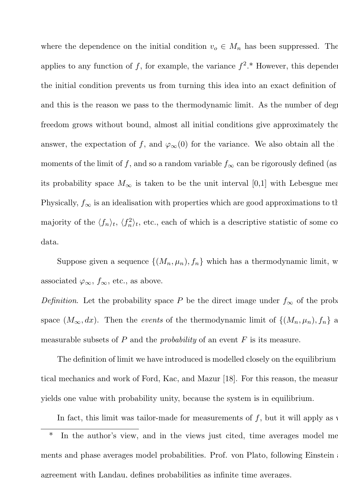where the dependence on the initial condition  $v_o \in M_n$  has been suppressed. The applies to any function of f, for example, the variance  $f^2$ <sup>\*</sup> However, this dependence the initial condition prevents us from turning this idea into an exact definition of and this is the reason we pass to the thermodynamic limit. As the number of degrees freedom grows without bound, almost all initial conditions give approximately the answer, the expectation of f, and  $\varphi_{\infty}(0)$  for the variance. We also obtain all the moments of the limit of f, and so a random variable  $f_{\infty}$  can be rigorously defined (as its probability space  $M_{\infty}$  is taken to be the unit interval [0,1] with Lebesgue mea Physically,  $f_{\infty}$  is an idealisation with properties which are good approximations to the majority of the  $\langle f_n \rangle_t$ ,  $\langle f_n^2 \rangle_t$ , etc., each of which is a descriptive statistic of some co data.

Suppose given a sequence  $\{(M_n, \mu_n), f_n\}$  which has a thermodynamic limit, w associated  $\varphi_{\infty}, f_{\infty}$ , etc., as above.

*Definition*. Let the probability space P be the direct image under  $f_{\infty}$  of the prob space  $(M_{\infty}, dx)$ . Then the *events* of the thermodynamic limit of  $\{(M_n, \mu_n), f_n\}$  are measurable subsets of P and the *probability* of an event F is its measure.

The definition of limit we have introduced is modelled closely on the equilibrium tical mechanics and work of Ford, Kac, and Mazur  $|18|$ . For this reason, the measur yields one value with probability unity, because the system is in equilibrium.

In fact, this limit was tailor-made for measurements of  $f$ , but it will apply as w

<sup>\*</sup> In the author's view, and in the views just cited, time averages model me ments and phase averages model probabilities. Prof. von Plato, following Einstein agreement with Landau, defines probabilities as infinite time averages.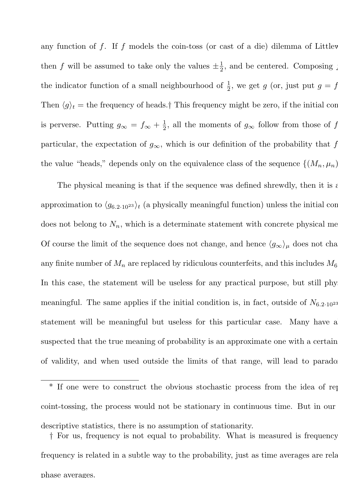any function of  $f$ . If  $f$  models the coin-toss (or cast of a die) dilemma of Littlew then f will be assumed to take only the values  $\pm \frac{1}{2}$  $\frac{1}{2}$ , and be centered. Composing j the indicator function of a small neighbourhood of  $\frac{1}{2}$ , we get g (or, just put  $g = f$ Then  $\langle g \rangle_t$  = the frequency of heads.† This frequency might be zero, if the initial conditionis perverse. Putting  $g_{\infty} = f_{\infty} + \frac{1}{2}$  $\frac{1}{2}$ , all the moments of  $g_{\infty}$  follow from those of f particular, the expectation of  $g_{\infty}$ , which is our definition of the probability that f the value "heads," depends only on the equivalence class of the sequence  $\{(M_n, \mu_n)\}$ 

The physical meaning is that if the sequence was defined shrewdly, then it is a approximation to  $\langle g_{6.2\cdot10^{23}} \rangle_t$  (a physically meaningful function) unless the initial con does not belong to  $N_n$ , which is a determinate statement with concrete physical me Of course the limit of the sequence does not change, and hence  $\langle g_{\infty} \rangle_{\mu}$  does not cha any finite number of  $M_n$  are replaced by ridiculous counterfeits, and this includes  $M_6$ . In this case, the statement will be useless for any practical purpose, but still phy meaningful. The same applies if the initial condition is, in fact, outside of  $N_{6.2 \cdot 10^{23}}$ statement will be meaningful but useless for this particular case. Many have a suspected that the true meaning of probability is an approximate one with a certain of validity, and when used outside the limits of that range, will lead to parado

If one were to construct the obvious stochastic process from the idea of rep coint-tossing, the process would not be stationary in continuous time. But in our descriptive statistics, there is no assumption of stationarity.

<sup>†</sup> For us, frequency is not equal to probability. What is measured is frequency. frequency is related in a subtle way to the probability, just as time averages are related phase averages.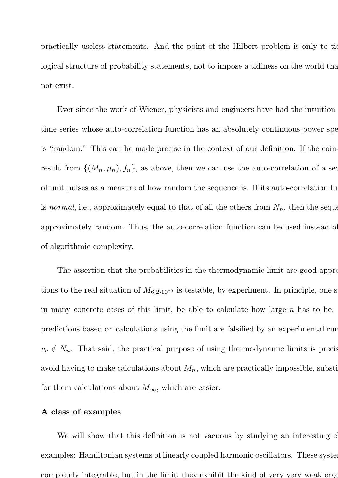practically useless statements. And the point of the Hilbert problem is only to tid logical structure of probability statements, not to impose a tidiness on the world that not exist.

Ever since the work of Wiener, physicists and engineers have had the intuition time series whose auto-correlation function has an absolutely continuous power spe is "random." This can be made precise in the context of our definition. If the coinresult from  $\{(M_n, \mu_n), f_n\}$ , as above, then we can use the auto-correlation of a seq of unit pulses as a measure of how random the sequence is. If its auto-correlation fu is *normal*, i.e., approximately equal to that of all the others from  $N_n$ , then the sequence approximately random. Thus, the auto-correlation function can be used instead of of algorithmic complexity.

The assertion that the probabilities in the thermodynamic limit are good appro tions to the real situation of  $M_{6.2 \cdot 10^{23}}$  is testable, by experiment. In principle, one s in many concrete cases of this limit, be able to calculate how large  $n$  has to be. predictions based on calculations using the limit are falsified by an experimental run  $v_o \notin N_n$ . That said, the practical purpose of using thermodynamic limits is precis avoid having to make calculations about  $M_n$ , which are practically impossible, substitutions for them calculations about  $M_{\infty}$ , which are easier.

## A class of examples

We will show that this definition is not vacuous by studying an interesting c examples: Hamiltonian systems of linearly coupled harmonic oscillators. These systems completely integrable, but in the limit, they exhibit the kind of very very weak ergo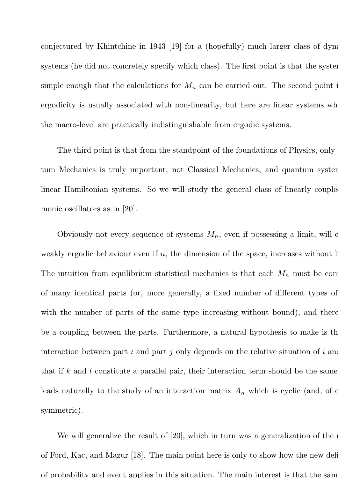conjectured by Khintchine in 1943  $[19]$  for a (hopefully) much larger class of dynamic systems (he did not concretely specify which class). The first point is that the systems simple enough that the calculations for  $M_n$  can be carried out. The second point is ergodicity is usually associated with non-linearity, but here are linear systems when the macro-level are practically indistinguishable from ergodic systems.

The third point is that from the standpoint of the foundations of Physics, only tum Mechanics is truly important, not Classical Mechanics, and quantum system linear Hamiltonian systems. So we will study the general class of linearly couple monic oscillators as in [20].

Obviously not every sequence of systems  $M_n$ , even if possessing a limit, will  $\epsilon$ weakly ergodic behaviour even if  $n$ , the dimension of the space, increases without b The intuition from equilibrium statistical mechanics is that each  $M_n$  must be comof many identical parts (or, more generally, a fixed number of different types of with the number of parts of the same type increasing without bound), and there be a coupling between the parts. Furthermore, a natural hypothesis to make is the interaction between part i and part j only depends on the relative situation of i and that if k and l constitute a parallel pair, their interaction term should be the same. leads naturally to the study of an interaction matrix  $A_n$  which is cyclic (and, of course, symmetric).

We will generalize the result of  $[20]$ , which in turn was a generalization of the results of Ford, Kac, and Mazur  $[18]$ . The main point here is only to show how the new definitionof probability and event applies in this situation. The main interest is that the same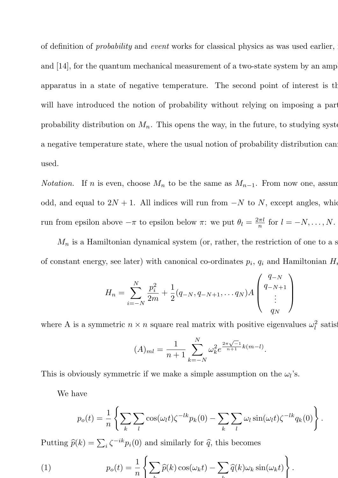of definition of *probability* and *event* works for classical physics as was used earlier, in and  $[14]$ , for the quantum mechanical measurement of a two-state system by an amp apparatus in a state of negative temperature. The second point of interest is that will have introduced the notion of probability without relying on imposing a part probability distribution on  $M_n$ . This opens the way, in the future, to studying systems a negative temperature state, where the usual notion of probability distribution can used.

*Notation.* If *n* is even, choose  $M_n$  to be the same as  $M_{n-1}$ . From now one, assum odd, and equal to  $2N + 1$ . All indices will run from  $-N$  to N, except angles, which run from epsilon above  $-\pi$  to epsilon below  $\pi$ : we put  $\theta_l = \frac{2\pi l}{n}$  $\frac{n}{n}$  for  $l = -N, \ldots, N$ .

 $M_n$  is a Hamiltonian dynamical system (or, rather, the restriction of one to a s of constant energy, see later) with canonical co-ordinates  $p_i$ ,  $q_i$  and Hamiltonian  $H_i$ 

$$
H_n = \sum_{i=-N}^{N} \frac{p_i^2}{2m} + \frac{1}{2}(q_{-N}, q_{-N+1}, \dots q_N)A\begin{pmatrix} q_{-N} \\ q_{-N+1} \\ \vdots \\ q_N \end{pmatrix}
$$

where A is a symmetric  $n \times n$  square real matrix with positive eigenvalues  $\omega_l^2$  satisfy

$$
(A)_{ml} = \frac{1}{n+1} \sum_{k=-N}^{N} \omega_k^2 e^{\frac{2\pi\sqrt{-1}}{n+1}k(m-l)}.
$$

This is obviously symmetric if we make a simple assumption on the  $\omega_l$ 's.

We have

$$
p_o(t) = \frac{1}{n} \left\{ \sum_k \sum_l \cos(\omega_l t) \zeta^{-lk} p_k(0) - \sum_k \sum_l \omega_l \sin(\omega_l t) \zeta^{-lk} q_k(0) \right\}.
$$

Putting  $\widehat{p}(k) = \sum_i \zeta^{-ik} p_i(0)$  and similarly for  $\widehat{q}$ , this becomes

(1) 
$$
p_o(t) = \frac{1}{n} \left\{ \sum_k \widehat{p}(k) \cos(\omega_k t) - \sum_k \widehat{q}(k) \omega_k \sin(\omega_k t) \right\}.
$$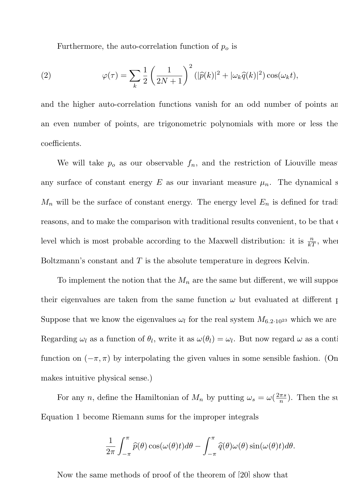Furthermore, the auto-correlation function of  $p<sub>o</sub>$  is

(2) 
$$
\varphi(\tau) = \sum_{k} \frac{1}{2} \left( \frac{1}{2N+1} \right)^2 (|\widehat{p}(k)|^2 + |\omega_k \widehat{q}(k)|^2) \cos(\omega_k t),
$$

and the higher auto-correlation functions vanish for an odd number of points and an even number of points, are trigonometric polynomials with more or less the coefficients.

We will take  $p<sub>o</sub>$  as our observable  $f<sub>n</sub>$ , and the restriction of Liouville meas any surface of constant energy E as our invariant measure  $\mu_n$ . The dynamical s  $M_n$  will be the surface of constant energy. The energy level  $E_n$  is defined for trad reasons, and to make the comparison with traditional results convenient, to be that level which is most probable according to the Maxwell distribution: it is  $\frac{n}{kT}$ , when Boltzmann's constant and  $T$  is the absolute temperature in degrees Kelvin.

To implement the notion that the  $M_n$  are the same but different, we will suppose their eigenvalues are taken from the same function  $\omega$  but evaluated at different p Suppose that we know the eigenvalues  $\omega_l$  for the real system  $M_{6.2 \cdot 10^{23}}$  which we are Regarding  $\omega_l$  as a function of  $\theta_l$ , write it as  $\omega(\theta_l) = \omega_l$ . But now regard  $\omega$  as a continuous function on  $(-\pi, \pi)$  by interpolating the given values in some sensible fashion. (On makes intuitive physical sense.)

For any n, define the Hamiltonian of  $M_n$  by putting  $\omega_s = \omega(\frac{2\pi s}{n})$  $\frac{n\pi s}{n}$ ). Then the sum Equation 1 become Riemann sums for the improper integrals

$$
\frac{1}{2\pi} \int_{-\pi}^{\pi} \widehat{p}(\theta) \cos(\omega(\theta)t) d\theta - \int_{-\pi}^{\pi} \widehat{q}(\theta) \omega(\theta) \sin(\omega(\theta)t) d\theta.
$$

Now the same methods of proof of the theorem of [20] show that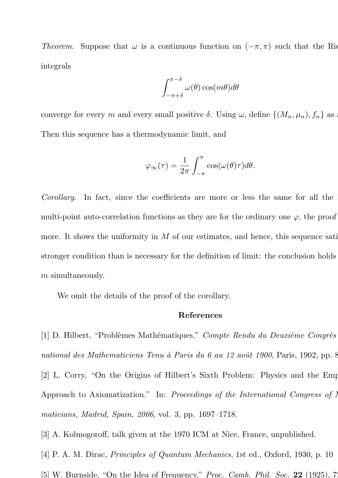*Theorem*. Suppose that  $\omega$  is a continuous function on  $(-\pi, \pi)$  such that the Riemannian integrals

$$
\int_{-\pi+\delta}^{\pi-\delta} \omega(\theta) \cos(m\theta) d\theta
$$

converge for every m and every small positive  $\delta$ . Using  $\omega$ , define  $\{(M_n, \mu_n), f_n\}$  as Then this sequence has a thermodynamic limit, and

$$
\varphi_{\infty}(\tau) = \frac{1}{2\pi} \int_{-\pi}^{\pi} \cos(\omega(\theta)\tau) d\theta.
$$

*Corollary*. In fact, since the coefficients are more or less the same for all the multi-point auto-correlation functions as they are for the ordinary one  $\varphi$ , the proof more. It shows the uniformity in  $M$  of our estimates, and hence, this sequence sati stronger condition than is necessary for the definition of limit: the conclusion holds m simultaneously.

We omit the details of the proof of the corollary.

#### References

[1] D. Hilbert, "Probl`emes Math´ematiques," *Compte Rendu du Deuxi`eme Congr`es* national des Mathematiciens Tenu à Paris du 6 au 12 août 1900, Paris, 1902, pp. 8 [2] L. Corry, "On the Origins of Hilbert's Sixth Problem: Physics and the Emp Approach to Axiomatization." In: *Proceedings of the International Congress of I maticians, Madrid, Spain, 2006*, vol. 3, pp. 1697–1718.

[3] A. Kolmogoroff, talk given at the 1970 ICM at Nice, France, unpublished.

[4] P. A. M. Dirac, *Principles of Quantum Mechanics*, 1st ed., Oxford, 1930, p. 10

[5] W. Burnside, "On the Idea of Frequency," *Proc. Camb. Phil. Soc.* 22 (1925), 726.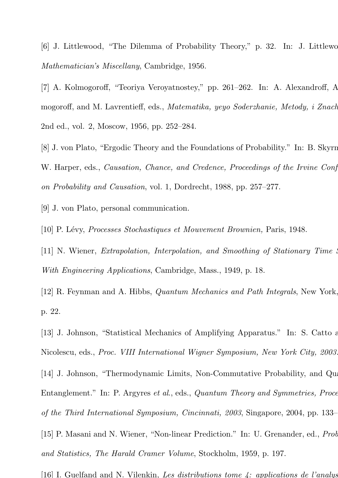[6] J. Littlewood, "The Dilemma of Probability Theory," p. 32. In: J. Littlewo *Mathematician's Miscellany*, Cambridge, 1956.

[7] A. Kolmogoroff, "Teoriya Veroyatnostey," pp. 261–262. In: A. Alexandroff, A. mogoroff, and M. Lavrentieff, eds., *Matematika, yeyo Soderzhanie, Metody, i Znach* 2nd ed., vol. 2, Moscow, 1956, pp. 252–284.

[8] J. von Plato, "Ergodic Theory and the Foundations of Probability." In: B. Skyrn W. Harper, eds., *Causation, Chance, and Credence, Proceedings of the Irvine Conf on Probability and Causation*, vol. 1, Dordrecht, 1988, pp. 257–277.

[9] J. von Plato, personal communication.

[10] P. L´evy, *Processes Stochastiques et Mouvement Brownien,* Paris, 1948.

[11] N. Wiener, *Extrapolation, Interpolation, and Smoothing of Stationary Time With Engineering Applications*, Cambridge, Mass., 1949, p. 18.

[12] R. Feynman and A. Hibbs, *Quantum Mechanics and Path Integrals*, New York, p. 22.

[13] J. Johnson, "Statistical Mechanics of Amplifying Apparatus." In: S. Catto  $\varepsilon$ Nicolescu, eds., *Proc. VIII International Wigner Symposium, New York City, 2003.*

[14] J. Johnson, "Thermodynamic Limits, Non-Commutative Probability, and Quan-Entanglement." In: P. Argyres *et al*., eds., *Quantum Theory and Symmetries, Procee of the Third International Symposium, Cincinnati, 2003*, Singapore, 2004, pp. 133–143.

[15] P. Masani and N. Wiener, "Non-linear Prediction." In: U. Grenander, ed., *Prob and Statistics, The Harald Cramer Volume*, Stockholm, 1959, p. 197.

[16] I. Guelfand and N. Vilenkin, *Les distributions tome 4: applications de l'analyse*